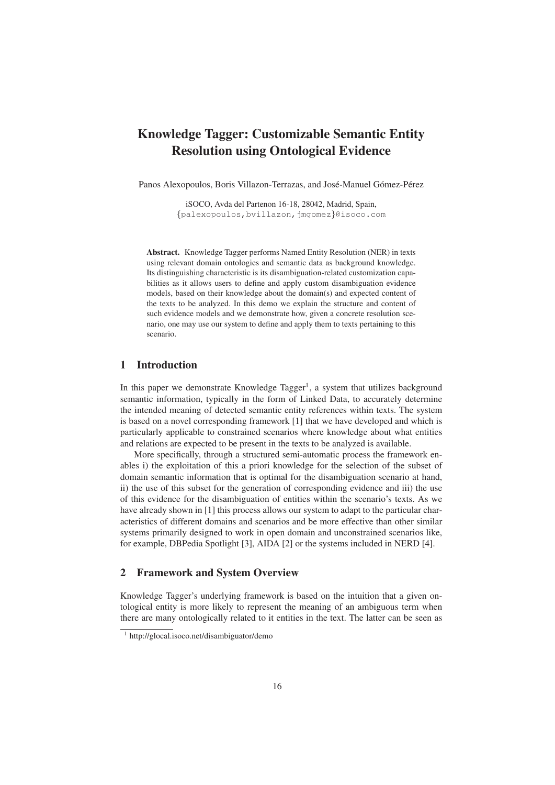# Knowledge Tagger: Customizable Semantic Entity Resolution using Ontological Evidence

Panos Alexopoulos, Boris Villazon-Terrazas, and José-Manuel Gómez-Pérez

iSOCO, Avda del Partenon 16-18, 28042, Madrid, Spain, {palexopoulos,bvillazon,jmgomez}@isoco.com

Abstract. Knowledge Tagger performs Named Entity Resolution (NER) in texts using relevant domain ontologies and semantic data as background knowledge. Its distinguishing characteristic is its disambiguation-related customization capabilities as it allows users to define and apply custom disambiguation evidence models, based on their knowledge about the domain(s) and expected content of the texts to be analyzed. In this demo we explain the structure and content of such evidence models and we demonstrate how, given a concrete resolution scenario, one may use our system to define and apply them to texts pertaining to this scenario.

# 1 Introduction

In this paper we demonstrate Knowledge Tagger<sup>1</sup>, a system that utilizes background semantic information, typically in the form of Linked Data, to accurately determine the intended meaning of detected semantic entity references within texts. The system is based on a novel corresponding framework [1] that we have developed and which is particularly applicable to constrained scenarios where knowledge about what entities and relations are expected to be present in the texts to be analyzed is available.

More specifically, through a structured semi-automatic process the framework enables i) the exploitation of this a priori knowledge for the selection of the subset of domain semantic information that is optimal for the disambiguation scenario at hand, ii) the use of this subset for the generation of corresponding evidence and iii) the use of this evidence for the disambiguation of entities within the scenario's texts. As we have already shown in [1] this process allows our system to adapt to the particular characteristics of different domains and scenarios and be more effective than other similar systems primarily designed to work in open domain and unconstrained scenarios like, for example, DBPedia Spotlight [3], AIDA [2] or the systems included in NERD [4].

## 2 Framework and System Overview

Knowledge Tagger's underlying framework is based on the intuition that a given ontological entity is more likely to represent the meaning of an ambiguous term when there are many ontologically related to it entities in the text. The latter can be seen as

<sup>1</sup> http://glocal.isoco.net/disambiguator/demo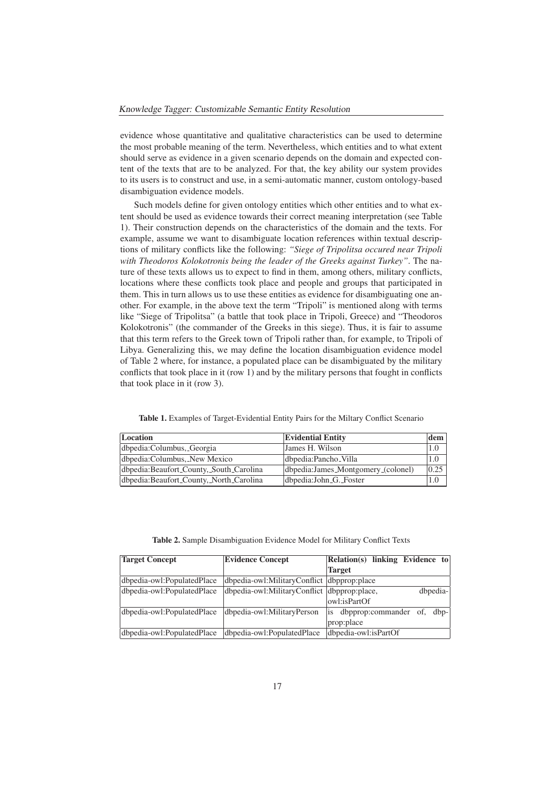evidence whose quantitative and qualitative characteristics can be used to determine the most probable meaning of the term. Nevertheless, which entities and to what extent should serve as evidence in a given scenario depends on the domain and expected content of the texts that are to be analyzed. For that, the key ability our system provides to its users is to construct and use, in a semi-automatic manner, custom ontology-based disambiguation evidence models.

Such models define for given ontology entities which other entities and to what extent should be used as evidence towards their correct meaning interpretation (see Table 1). Their construction depends on the characteristics of the domain and the texts. For example, assume we want to disambiguate location references within textual descriptions of military conflicts like the following: *"Siege of Tripolitsa occured near Tripoli with Theodoros Kolokotronis being the leader of the Greeks against Turkey"*. The nature of these texts allows us to expect to find in them, among others, military conflicts, locations where these conflicts took place and people and groups that participated in them. This in turn allows us to use these entities as evidence for disambiguating one another. For example, in the above text the term "Tripoli" is mentioned along with terms like "Siege of Tripolitsa" (a battle that took place in Tripoli, Greece) and "Theodoros Kolokotronis" (the commander of the Greeks in this siege). Thus, it is fair to assume that this term refers to the Greek town of Tripoli rather than, for example, to Tripoli of Libya. Generalizing this, we may define the location disambiguation evidence model of Table 2 where, for instance, a populated place can be disambiguated by the military conflicts that took place in it (row 1) and by the military persons that fought in conflicts that took place in it (row 3).

| Location                                | <b>Evidential Entity</b>           | dem  |
|-----------------------------------------|------------------------------------|------|
| dbpedia:Columbus, Georgia               | James H. Wilson                    | 1.0  |
| dbpedia:Columbus, New Mexico            | dbpedia:Pancho_Villa               | 1.0  |
| dbpedia:Beaufort_County,_South_Carolina | dbpedia:James_Montgomery_(colonel) | 0.25 |
| dbpedia:Beaufort_County,_North_Carolina | dbpedia:John_G._Foster             | 1.0  |

Table 1. Examples of Target-Evidential Entity Pairs for the Miltary Conflict Scenario

Table 2. Sample Disambiguation Evidence Model for Military Conflict Texts

| <b>Target Concept</b>      | <b>Evidence Concept</b>                      | Relation(s) linking Evidence to         |
|----------------------------|----------------------------------------------|-----------------------------------------|
|                            |                                              | <b>Target</b>                           |
| dbpedia-owl:PopulatedPlace | dbpedia-owl:MilitaryConflict  dbpprop:place  |                                         |
| dbpedia-owl:PopulatedPlace | dbpedia-owl:MilitaryConflict  dbpprop:place, | dbpedia-                                |
|                            |                                              | lowl:isPartOf                           |
| dbpedia-owl:PopulatedPlace | dbpedia-owl:MilitaryPerson                   | dbpprop:commander of,<br>$dbp-$<br>lis. |
|                            |                                              | prop:place                              |
| dbpedia-owl:PopulatedPlace | dbpedia-owl:PopulatedPlace                   | dbpedia-owl:isPartOf                    |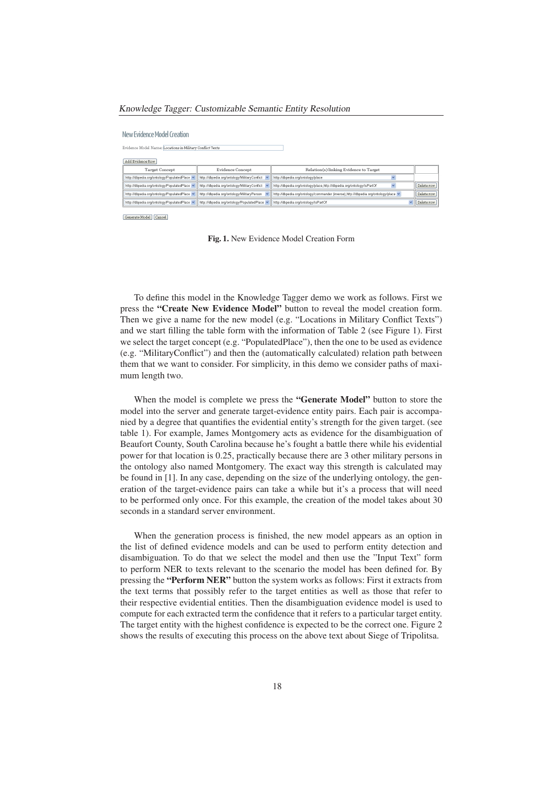#### *Knowledge Tagger: Customizable Semantic Entity Resolution*

#### New Evidence Model Creation

| Evidence Model Name: Locations in Military Conflict Texts |                                                |                                                                                     |            |
|-----------------------------------------------------------|------------------------------------------------|-------------------------------------------------------------------------------------|------------|
| Add Evidence Row                                          |                                                |                                                                                     |            |
| <b>Target Concept</b>                                     | <b>Evidence Concept</b>                        | Relation(s) linking Evidence to Target                                              |            |
| http://dbpedia.org/ontology/PopulatedPlace v              | http://dbpedia.org/ontology/MilitaryConflict v | http://dbpedia.org/ontology/place                                                   |            |
| http://dbpedia.org/ontology/PopulatedPlace v              | http://dbpedia.org/ontology/MilitaryConflict v | http://dbpedia.org/ontology/place.http://dbpedia.org/ontology/isPartOf              | Delete row |
| http://dbpedia.org/ontology/PopulatedPlace v              | http://dbpedia.org/ontology/MilitaryPerson     | http://dbpedia.org/ontology/commander (inverse).http://dbpedia.org/ontology/place v | Delete row |
| http://dbpedia.org/ontology/PopulatedPlace                | http://dbpedia.org/ontology/PopulatedPlace v   | http://dbpedia.org/ontology/isPartOf                                                | Delete row |

Generate Model Cancel

Fig. 1. New Evidence Model Creation Form

To define this model in the Knowledge Tagger demo we work as follows. First we press the "Create New Evidence Model" button to reveal the model creation form. Then we give a name for the new model (e.g. "Locations in Military Conflict Texts") and we start filling the table form with the information of Table 2 (see Figure 1). First we select the target concept (e.g. "PopulatedPlace"), then the one to be used as evidence (e.g. "MilitaryConflict") and then the (automatically calculated) relation path between them that we want to consider. For simplicity, in this demo we consider paths of maximum length two.

When the model is complete we press the "Generate Model" button to store the model into the server and generate target-evidence entity pairs. Each pair is accompanied by a degree that quantifies the evidential entity's strength for the given target. (see table 1). For example, James Montgomery acts as evidence for the disambiguation of Beaufort County, South Carolina because he's fought a battle there while his evidential power for that location is 0.25, practically because there are 3 other military persons in the ontology also named Montgomery. The exact way this strength is calculated may be found in [1]. In any case, depending on the size of the underlying ontology, the generation of the target-evidence pairs can take a while but it's a process that will need to be performed only once. For this example, the creation of the model takes about 30 seconds in a standard server environment.

When the generation process is finished, the new model appears as an option in the list of defined evidence models and can be used to perform entity detection and disambiguation. To do that we select the model and then use the "Input Text" form to perform NER to texts relevant to the scenario the model has been defined for. By pressing the "Perform NER" button the system works as follows: First it extracts from the text terms that possibly refer to the target entities as well as those that refer to their respective evidential entities. Then the disambiguation evidence model is used to compute for each extracted term the confidence that it refers to a particular target entity. The target entity with the highest confidence is expected to be the correct one. Figure 2 shows the results of executing this process on the above text about Siege of Tripolitsa.